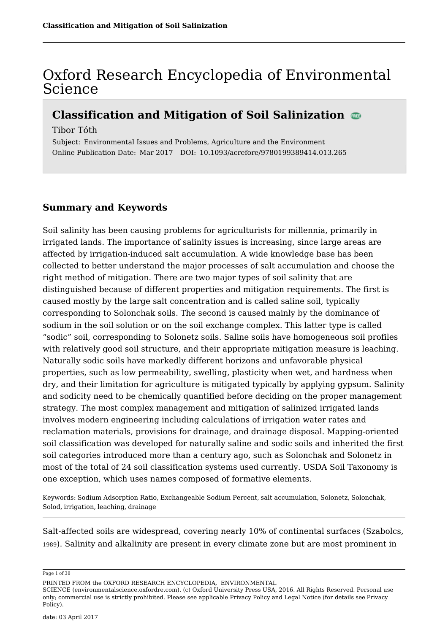### Oxford Research Encyclopedia of Environmental Science

### **Classification and Mitigation of Soil Salinization**

Tibor Tóth

Subject: Environmental Issues and Problems, Agriculture and the Environment Online Publication Date: Mar 2017 DOI: 10.1093/acrefore/9780199389414.013.265

#### **Summary and Keywords**

Soil salinity has been causing problems for agriculturists for millennia, primarily in irrigated lands. The importance of salinity issues is increasing, since large areas are affected by irrigation-induced salt accumulation. A wide knowledge base has been collected to better understand the major processes of salt accumulation and choose the right method of mitigation. There are two major types of soil salinity that are distinguished because of different properties and mitigation requirements. The first is caused mostly by the large salt concentration and is called saline soil, typically corresponding to Solonchak soils. The second is caused mainly by the dominance of sodium in the soil solution or on the soil exchange complex. This latter type is called "sodic" soil, corresponding to Solonetz soils. Saline soils have homogeneous soil profiles with relatively good soil structure, and their appropriate mitigation measure is leaching. Naturally sodic soils have markedly different horizons and unfavorable physical properties, such as low permeability, swelling, plasticity when wet, and hardness when dry, and their limitation for agriculture is mitigated typically by applying gypsum. Salinity and sodicity need to be chemically quantified before deciding on the proper management strategy. The most complex management and mitigation of salinized irrigated lands involves modern engineering including calculations of irrigation water rates and reclamation materials, provisions for drainage, and drainage disposal. Mapping-oriented soil classification was developed for naturally saline and sodic soils and inherited the first soil categories introduced more than a century ago, such as Solonchak and Solonetz in most of the total of 24 soil classification systems used currently. USDA Soil Taxonomy is one exception, which uses names composed of formative elements.

Keywords: Sodium Adsorption Ratio, Exchangeable Sodium Percent, salt accumulation, Solonetz, Solonchak, Solod, irrigation, leaching, drainage

Salt-affected soils are widespread, covering nearly 10% of continental surfaces (Szabolcs, <sup>1989</sup>). Salinity and alkalinity are present in every climate zone but are most prominent in

Page 1 of 38

PRINTED FROM the OXFORD RESEARCH ENCYCLOPEDIA, ENVIRONMENTAL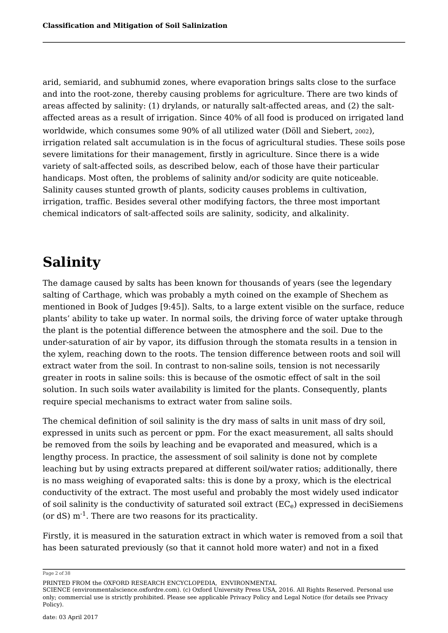arid, semiarid, and subhumid zones, where evaporation brings salts close to the surface and into the root-zone, thereby causing problems for agriculture. There are two kinds of areas affected by salinity: (1) drylands, or naturally salt-affected areas, and (2) the saltaffected areas as a result of irrigation. Since 40% of all food is produced on irrigated land worldwide, which consumes some 90% of all utilized water (Döll and Siebert, <sup>2002</sup>), irrigation related salt accumulation is in the focus of agricultural studies. These soils pose severe limitations for their management, firstly in agriculture. Since there is a wide variety of salt-affected soils, as described below, each of those have their particular handicaps. Most often, the problems of salinity and/or sodicity are quite noticeable. Salinity causes stunted growth of plants, sodicity causes problems in cultivation, irrigation, traffic. Besides several other modifying factors, the three most important chemical indicators of salt-affected soils are salinity, sodicity, and alkalinity.

# **Salinity**

The damage caused by salts has been known for thousands of years (see the legendary salting of Carthage, which was probably a myth coined on the example of Shechem as mentioned in Book of Judges [9:45]). Salts, to a large extent visible on the surface, reduce plants' ability to take up water. In normal soils, the driving force of water uptake through the plant is the potential difference between the atmosphere and the soil. Due to the under-saturation of air by vapor, its diffusion through the stomata results in a tension in the xylem, reaching down to the roots. The tension difference between roots and soil will extract water from the soil. In contrast to non-saline soils, tension is not necessarily greater in roots in saline soils: this is because of the osmotic effect of salt in the soil solution. In such soils water availability is limited for the plants. Consequently, plants require special mechanisms to extract water from saline soils.

The chemical definition of soil salinity is the dry mass of salts in unit mass of dry soil, expressed in units such as percent or ppm. For the exact measurement, all salts should be removed from the soils by leaching and be evaporated and measured, which is a lengthy process. In practice, the assessment of soil salinity is done not by complete leaching but by using extracts prepared at different soil/water ratios; additionally, there is no mass weighing of evaporated salts: this is done by a proxy, which is the electrical conductivity of the extract. The most useful and probably the most widely used indicator of soil salinity is the conductivity of saturated soil extract (EC $_{\rm e}$ ) expressed in deciSiemens (or dS)  $\mathrm{m}^{\text{-}1}$ . There are two reasons for its practicality.

Firstly, it is measured in the saturation extract in which water is removed from a soil that has been saturated previously (so that it cannot hold more water) and not in a fixed

Page 2 of 38

PRINTED FROM the OXFORD RESEARCH ENCYCLOPEDIA, ENVIRONMENTAL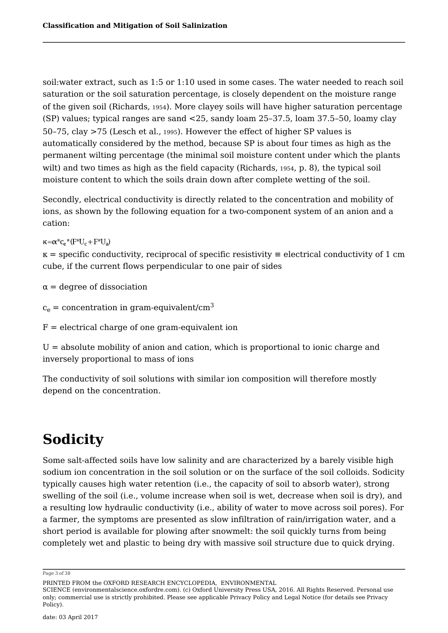soil:water extract, such as 1:5 or 1:10 used in some cases. The water needed to reach soil saturation or the soil saturation percentage, is closely dependent on the moisture range of the given soil (Richards, <sup>1954</sup>). More clayey soils will have higher saturation percentage (SP) values; typical ranges are sand <25, sandy loam 25–37.5, loam 37.5–50, loamy clay 50–75, clay >75 (Lesch et al., <sup>1995</sup>). However the effect of higher SP values is automatically considered by the method, because SP is about four times as high as the permanent wilting percentage (the minimal soil moisture content under which the plants wilt) and two times as high as the field capacity (Richards, <sup>1954</sup>, p. 8), the typical soil moisture content to which the soils drain down after complete wetting of the soil.

Secondly, electrical conductivity is directly related to the concentration and mobility of ions, as shown by the following equation for a two-component system of an anion and a cation:

 $K = \alpha^* C_e^* (F^* U_c + F^* U_a)$ 

 $\kappa$  = specific conductivity, reciprocal of specific resistivity = electrical conductivity of 1 cm cube, if the current flows perpendicular to one pair of sides

 $\alpha$  = degree of dissociation

 $\rm c_e = concentration\ in\ gram\-equivalent/cm^3$ 

 $F =$  electrical charge of one gram-equivalent ion

U = absolute mobility of anion and cation, which is proportional to ionic charge and inversely proportional to mass of ions

The conductivity of soil solutions with similar ion composition will therefore mostly depend on the concentration.

# **Sodicity**

Some salt-affected soils have low salinity and are characterized by a barely visible high sodium ion concentration in the soil solution or on the surface of the soil colloids. Sodicity typically causes high water retention (i.e., the capacity of soil to absorb water), strong swelling of the soil (i.e., volume increase when soil is wet, decrease when soil is dry), and a resulting low hydraulic conductivity (i.e., ability of water to move across soil pores). For a farmer, the symptoms are presented as slow infiltration of rain/irrigation water, and a short period is available for plowing after snowmelt: the soil quickly turns from being completely wet and plastic to being dry with massive soil structure due to quick drying.

Page 3 of 38

PRINTED FROM the OXFORD RESEARCH ENCYCLOPEDIA, ENVIRONMENTAL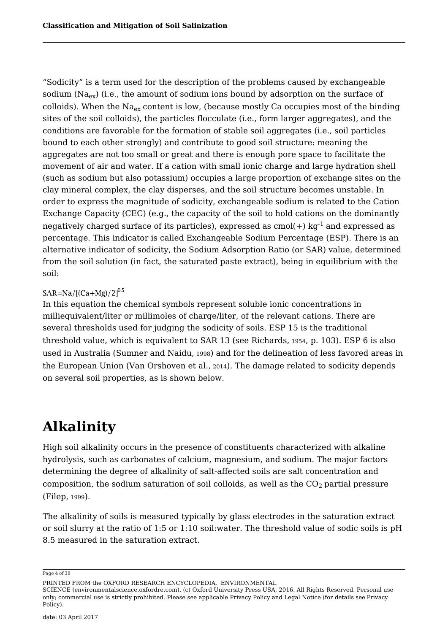"Sodicity" is a term used for the description of the problems caused by exchangeable sodium (Na $_{\rm ex}$ ) (i.e., the amount of sodium ions bound by adsorption on the surface of colloids). When the  ${\rm Na_{ex}}$  content is low, (because mostly Ca occupies most of the binding sites of the soil colloids), the particles flocculate (i.e., form larger aggregates), and the conditions are favorable for the formation of stable soil aggregates (i.e., soil particles bound to each other strongly) and contribute to good soil structure: meaning the aggregates are not too small or great and there is enough pore space to facilitate the movement of air and water. If a cation with small ionic charge and large hydration shell (such as sodium but also potassium) occupies a large proportion of exchange sites on the clay mineral complex, the clay disperses, and the soil structure becomes unstable. In order to express the magnitude of sodicity, exchangeable sodium is related to the Cation Exchange Capacity (CEC) (e.g., the capacity of the soil to hold cations on the dominantly negatively charged surface of its particles), expressed as cmol(+) kg<sup>-1</sup> and expressed as percentage. This indicator is called Exchangeable Sodium Percentage (ESP). There is an alternative indicator of sodicity, the Sodium Adsorption Ratio (or SAR) value, determined from the soil solution (in fact, the saturated paste extract), being in equilibrium with the soil:

#### $SAR = Na/[((Ca+Mg)/2]^{0.5}]$

In this equation the chemical symbols represent soluble ionic concentrations in milliequivalent/liter or millimoles of charge/liter, of the relevant cations. There are several thresholds used for judging the sodicity of soils. ESP 15 is the traditional threshold value, which is equivalent to SAR 13 (see Richards, 1954, p. 103). ESP 6 is also used in Australia (Sumner and Naidu, 1998) and for the delineation of less favored areas in the European Union (Van Orshoven et al., 2014). The damage related to sodicity depends on several soil properties, as is shown below.

## **Alkalinity**

High soil alkalinity occurs in the presence of constituents characterized with alkaline hydrolysis, such as carbonates of calcium, magnesium, and sodium. The major factors determining the degree of alkalinity of salt-affected soils are salt concentration and composition, the sodium saturation of soil colloids, as well as the  $\mathrm{CO}_2$  partial pressure (Filep, <sup>1999</sup>).

The alkalinity of soils is measured typically by glass electrodes in the saturation extract or soil slurry at the ratio of 1:5 or 1:10 soil:water. The threshold value of sodic soils is pH 8.5 measured in the saturation extract.

Page 4 of 38

PRINTED FROM the OXFORD RESEARCH ENCYCLOPEDIA, ENVIRONMENTAL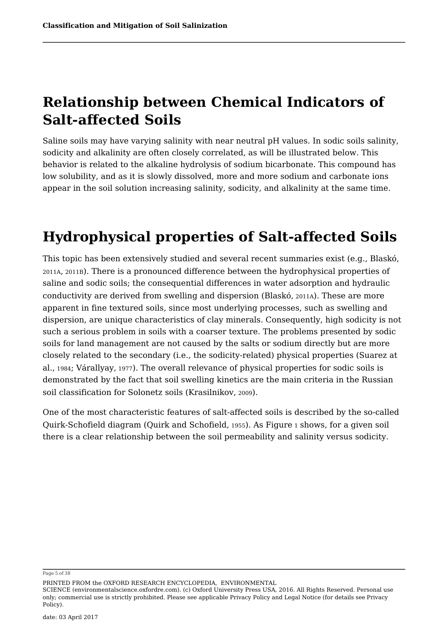# **Relationship between Chemical Indicators of Salt-affected Soils**

Saline soils may have varying salinity with near neutral pH values. In sodic soils salinity, sodicity and alkalinity are often closely correlated, as will be illustrated below. This behavior is related to the alkaline hydrolysis of sodium bicarbonate. This compound has low solubility, and as it is slowly dissolved, more and more sodium and carbonate ions appear in the soil solution increasing salinity, sodicity, and alkalinity at the same time.

# **Hydrophysical properties of Salt-affected Soils**

This topic has been extensively studied and several recent summaries exist (e.g., Blaskó, 2011A, 2011B). There is a pronounced difference between the hydrophysical properties of saline and sodic soils; the consequential differences in water adsorption and hydraulic conductivity are derived from swelling and dispersion (Blaskó, 2011A). These are more apparent in fine textured soils, since most underlying processes, such as swelling and dispersion, are unique characteristics of clay minerals. Consequently, high sodicity is not such a serious problem in soils with a coarser texture. The problems presented by sodic soils for land management are not caused by the salts or sodium directly but are more closely related to the secondary (i.e., the sodicity-related) physical properties (Suarez at al., 1984; Várallyay, 1977). The overall relevance of physical properties for sodic soils is demonstrated by the fact that soil swelling kinetics are the main criteria in the Russian soil classification for Solonetz soils (Krasilnikov, 2009).

One of the most characteristic features of salt-affected soils is described by the so-called Quirk-Schofield diagram (Quirk and Schofield, 1955). As Figure 1 shows, for a given soil there is a clear relationship between the soil permeability and salinity versus sodicity.

Page 5 of 38

PRINTED FROM the OXFORD RESEARCH ENCYCLOPEDIA, ENVIRONMENTAL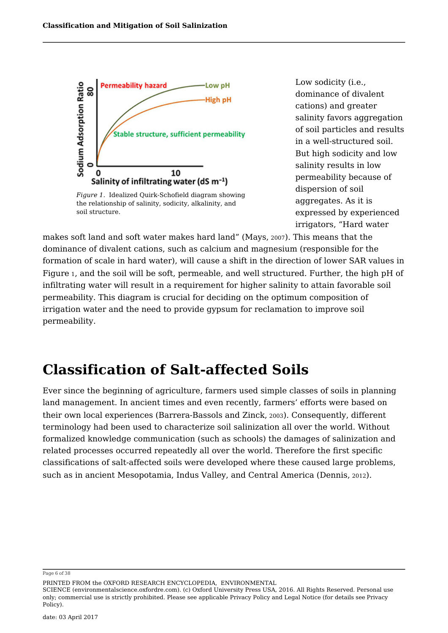

*Figure 1.* Idealized Quirk-Schofield diagram showing the relationship of salinity, sodicity, alkalinity, and soil structure.

Low sodicity (i.e., dominance of divalent cations) and greater salinity favors aggregation of soil particles and results in a well-structured soil. But high sodicity and low salinity results in low permeability because of dispersion of soil aggregates. As it is expressed by experienced irrigators, "Hard water

makes soft land and soft water makes hard land" (Mays, <sup>2007</sup>). This means that the dominance of divalent cations, such as calcium and magnesium (responsible for the formation of scale in hard water), will cause a shift in the direction of lower SAR values in Figure 1, and the soil will be soft, permeable, and well structured. Further, the high pH of infiltrating water will result in a requirement for higher salinity to attain favorable soil permeability. This diagram is crucial for deciding on the optimum composition of irrigation water and the need to provide gypsum for reclamation to improve soil permeability.

## **Classification of Salt-affected Soils**

Ever since the beginning of agriculture, farmers used simple classes of soils in planning land management. In ancient times and even recently, farmers' efforts were based on their own local experiences (Barrera-Bassols and Zinck, 2003). Consequently, different terminology had been used to characterize soil salinization all over the world. Without formalized knowledge communication (such as schools) the damages of salinization and related processes occurred repeatedly all over the world. Therefore the first specific classifications of salt-affected soils were developed where these caused large problems, such as in ancient Mesopotamia, Indus Valley, and Central America (Dennis, <sup>2012</sup>).

Page 6 of 38

PRINTED FROM the OXFORD RESEARCH ENCYCLOPEDIA, ENVIRONMENTAL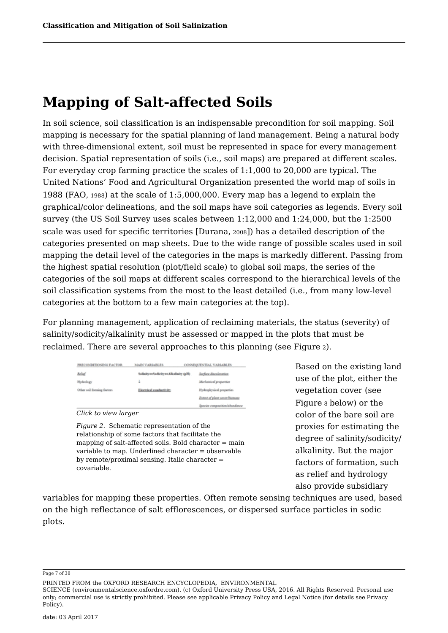# **Mapping of Salt-affected Soils**

In soil science, soil classification is an indispensable precondition for soil mapping. Soil mapping is necessary for the spatial planning of land management. Being a natural body with three-dimensional extent, soil must be represented in space for every management decision. Spatial representation of soils (i.e., soil maps) are prepared at different scales. For everyday crop farming practice the scales of 1:1,000 to 20,000 are typical. The United Nations' Food and Agricultural Organization presented the world map of soils in 1988 (FAO, <sup>1988</sup>) at the scale of 1:5,000,000. Every map has a legend to explain the graphical/color delineations, and the soil maps have soil categories as legends. Every soil survey (the US Soil Survey uses scales between 1:12,000 and 1:24,000, but the 1:2500 scale was used for specific territories [Durana, <sup>2008</sup>]) has a detailed description of the categories presented on map sheets. Due to the wide range of possible scales used in soil mapping the detail level of the categories in the maps is markedly different. Passing from the highest spatial resolution (plot/field scale) to global soil maps, the series of the categories of the soil maps at different scales correspond to the hierarchical levels of the soil classification systems from the most to the least detailed (i.e., from many low-level categories at the bottom to a few main categories at the top).

For planning management, application of reclaiming materials, the status (severity) of salinity/sodicity/alkalinity must be assessed or mapped in the plots that must be reclaimed. There are several approaches to this planning (see Figure 2).



*Click to view larger*

*Figure 2.* Schematic representation of the relationship of some factors that facilitate the mapping of salt-affected soils. Bold character = main variable to map. Underlined character = observable by remote/proximal sensing. Italic character = covariable.

Based on the existing land use of the plot, either the vegetation cover (see Figure 8 below) or the color of the bare soil are proxies for estimating the degree of salinity/sodicity/ alkalinity. But the major factors of formation, such as relief and hydrology also provide subsidiary

variables for mapping these properties. Often remote sensing techniques are used, based on the high reflectance of salt efflorescences, or dispersed surface particles in sodic plots.

Page 7 of 38

PRINTED FROM the OXFORD RESEARCH ENCYCLOPEDIA, ENVIRONMENTAL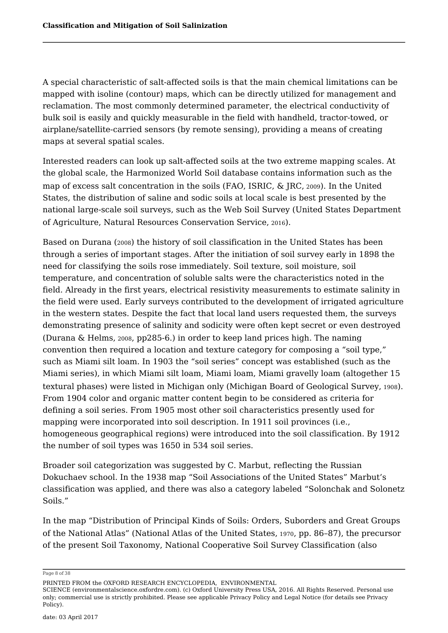A special characteristic of salt-affected soils is that the main chemical limitations can be mapped with isoline (contour) maps, which can be directly utilized for management and reclamation. The most commonly determined parameter, the electrical conductivity of bulk soil is easily and quickly measurable in the field with handheld, tractor-towed, or airplane/satellite-carried sensors (by remote sensing), providing a means of creating maps at several spatial scales.

Interested readers can look up salt-affected soils at the two extreme mapping scales. At the global scale, the Harmonized World Soil database contains information such as the map of excess salt concentration in the soils (FAO, ISRIC, & JRC, <sup>2009</sup>). In the United States, the distribution of saline and sodic soils at local scale is best presented by the national large-scale soil surveys, such as the Web Soil Survey (United States Department of Agriculture, Natural Resources Conservation Service, <sup>2016</sup>).

Based on Durana (2008) the history of soil classification in the United States has been through a series of important stages. After the initiation of soil survey early in 1898 the need for classifying the soils rose immediately. Soil texture, soil moisture, soil temperature, and concentration of soluble salts were the characteristics noted in the field. Already in the first years, electrical resistivity measurements to estimate salinity in the field were used. Early surveys contributed to the development of irrigated agriculture in the western states. Despite the fact that local land users requested them, the surveys demonstrating presence of salinity and sodicity were often kept secret or even destroyed (Durana & Helms, 2008, pp285-6.) in order to keep land prices high. The naming convention then required a location and texture category for composing a "soil type," such as Miami silt loam. In 1903 the "soil series" concept was established (such as the Miami series), in which Miami silt loam, Miami loam, Miami gravelly loam (altogether 15 textural phases) were listed in Michigan only (Michigan Board of Geological Survey, 1908). From 1904 color and organic matter content begin to be considered as criteria for defining a soil series. From 1905 most other soil characteristics presently used for mapping were incorporated into soil description. In 1911 soil provinces (i.e., homogeneous geographical regions) were introduced into the soil classification. By 1912 the number of soil types was 1650 in 534 soil series.

Broader soil categorization was suggested by C. Marbut, reflecting the Russian Dokuchaev school. In the 1938 map "Soil Associations of the United States" Marbut's classification was applied, and there was also a category labeled "Solonchak and Solonetz Soils."

In the map "Distribution of Principal Kinds of Soils: Orders, Suborders and Great Groups of the National Atlas" (National Atlas of the United States, <sup>1970</sup>, pp. 86–87), the precursor of the present Soil Taxonomy, National Cooperative Soil Survey Classification (also

Page 8 of 38

PRINTED FROM the OXFORD RESEARCH ENCYCLOPEDIA, ENVIRONMENTAL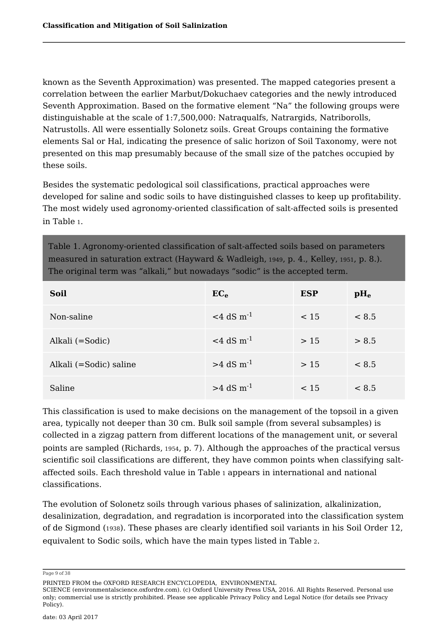known as the Seventh Approximation) was presented. The mapped categories present a correlation between the earlier Marbut/Dokuchaev categories and the newly introduced Seventh Approximation. Based on the formative element "Na" the following groups were distinguishable at the scale of 1:7,500,000: Natraqualfs, Natrargids, Natriborolls, Natrustolls. All were essentially Solonetz soils. Great Groups containing the formative elements Sal or Hal, indicating the presence of salic horizon of Soil Taxonomy, were not presented on this map presumably because of the small size of the patches occupied by these soils.

Besides the systematic pedological soil classifications, practical approaches were developed for saline and sodic soils to have distinguished classes to keep up profitability. The most widely used agronomy-oriented classification of salt-affected soils is presented in Table <sup>1</sup>.

Table 1. Agronomy-oriented classification of salt-affected soils based on parameters measured in saturation extract (Hayward & Wadleigh, 1949, p. 4., Kelley, 1951, p. 8.). The original term was "alkali," but nowadays "sodic" is the accepted term.

| <b>Soil</b>            | $EC_e$                   | <b>ESP</b> | $\mathbf{p}$ H <sub>e</sub> |
|------------------------|--------------------------|------------|-----------------------------|
| Non-saline             | $<$ 4 dS m <sup>-1</sup> | < 15       | < 8.5                       |
| Alkali (=Sodic)        | $<$ 4 dS m <sup>-1</sup> | $>15$      | > 8.5                       |
| Alkali (=Sodic) saline | $>4$ dS m <sup>-1</sup>  | >15        | < 8.5                       |
| Saline                 | $>4$ dS m <sup>-1</sup>  | < 15       | < 8.5                       |

This classification is used to make decisions on the management of the topsoil in a given area, typically not deeper than 30 cm. Bulk soil sample (from several subsamples) is collected in a zigzag pattern from different locations of the management unit, or several points are sampled (Richards, <sup>1954</sup>, p. 7). Although the approaches of the practical versus scientific soil classifications are different, they have common points when classifying saltaffected soils. Each threshold value in Table <sup>1</sup> appears in international and national classifications.

The evolution of Solonetz soils through various phases of salinization, alkalinization, desalinization, degradation, and regradation is incorporated into the classification system of de Sigmond (1938). These phases are clearly identified soil variants in his Soil Order 12, equivalent to Sodic soils, which have the main types listed in Table <sup>2</sup>.

Page 9 of 38

PRINTED FROM the OXFORD RESEARCH ENCYCLOPEDIA, ENVIRONMENTAL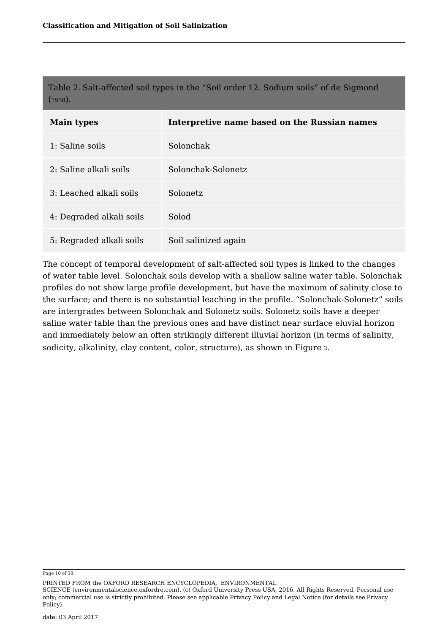Table 2. Salt-affected soil types in the "Soil order 12. Sodium soils" of de Sigmond (1938).

| <b>Main types</b>        | Interpretive name based on the Russian names |
|--------------------------|----------------------------------------------|
| 1: Saline soils          | Solonchak                                    |
| 2: Saline alkali soils   | Solonchak-Solonetz                           |
| 3: Leached alkali soils  | Solonetz                                     |
| 4: Degraded alkali soils | Solod                                        |
| 5: Regraded alkali soils | Soil salinized again                         |

The concept of temporal development of salt-affected soil types is linked to the changes of water table level. Solonchak soils develop with a shallow saline water table. Solonchak profiles do not show large profile development, but have the maximum of salinity close to the surface; and there is no substantial leaching in the profile. "Solonchak-Solonetz" soils are intergrades between Solonchak and Solonetz soils. Solonetz soils have a deeper saline water table than the previous ones and have distinct near surface eluvial horizon and immediately below an often strikingly different illuvial horizon (in terms of salinity, sodicity, alkalinity, clay content, color, structure), as shown in Figure 3.

Page 10 of 38

PRINTED FROM the OXFORD RESEARCH ENCYCLOPEDIA, ENVIRONMENTAL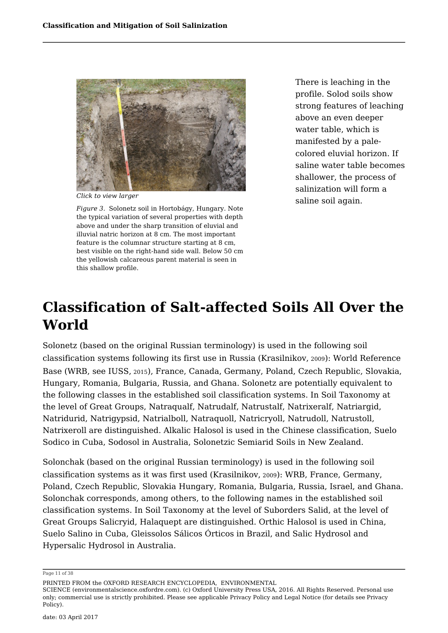

*Click to view larger*

*Figure 3.* Solonetz soil in Hortobágy, Hungary. Note the typical variation of several properties with depth above and under the sharp transition of eluvial and illuvial natric horizon at 8 cm. The most important feature is the columnar structure starting at 8 cm, best visible on the right-hand side wall. Below 50 cm the yellowish calcareous parent material is seen in this shallow profile.

There is leaching in the profile. Solod soils show strong features of leaching above an even deeper water table, which is manifested by a palecolored eluvial horizon. If saline water table becomes shallower, the process of salinization will form a saline soil again.

## **Classification of Salt-affected Soils All Over the World**

Solonetz (based on the original Russian terminology) is used in the following soil classification systems following its first use in Russia (Krasilnikov, 2009): World Reference Base (WRB, see IUSS, 2015), France, Canada, Germany, Poland, Czech Republic, Slovakia, Hungary, Romania, Bulgaria, Russia, and Ghana. Solonetz are potentially equivalent to the following classes in the established soil classification systems. In Soil Taxonomy at the level of Great Groups, Natraqualf, Natrudalf, Natrustalf, Natrixeralf, Natriargid, Natridurid, Natrigypsid, Natrialboll, Natraquoll, Natricryoll, Natrudoll, Natrustoll, Natrixeroll are distinguished. Alkalic Halosol is used in the Chinese classification, Suelo Sodico in Cuba, Sodosol in Australia, Solonetzic Semiarid Soils in New Zealand.

Solonchak (based on the original Russian terminology) is used in the following soil classification systems as it was first used (Krasilnikov, <sup>2009</sup>): WRB, France, Germany, Poland, Czech Republic, Slovakia Hungary, Romania, Bulgaria, Russia, Israel, and Ghana. Solonchak corresponds, among others, to the following names in the established soil classification systems. In Soil Taxonomy at the level of Suborders Salid, at the level of Great Groups Salicryid, Halaquept are distinguished. Orthic Halosol is used in China, Suelo Salino in Cuba, Gleissolos Sálicos Órticos in Brazil, and Salic Hydrosol and Hypersalic Hydrosol in Australia.

Page 11 of 38

PRINTED FROM the OXFORD RESEARCH ENCYCLOPEDIA, ENVIRONMENTAL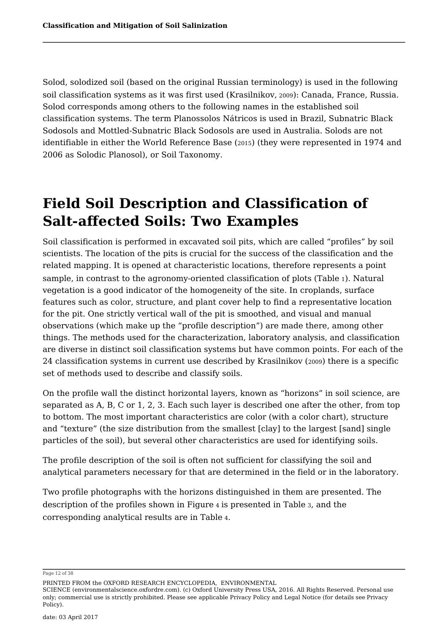Solod, solodized soil (based on the original Russian terminology) is used in the following soil classification systems as it was first used (Krasilnikov, <sup>2009</sup>): Canada, France, Russia. Solod corresponds among others to the following names in the established soil classification systems. The term Planossolos Nátricos is used in Brazil, Subnatric Black Sodosols and Mottled-Subnatric Black Sodosols are used in Australia. Solods are not identifiable in either the World Reference Base (2015) (they were represented in 1974 and 2006 as Solodic Planosol), or Soil Taxonomy.

# **Field Soil Description and Classification of Salt-affected Soils: Two Examples**

Soil classification is performed in excavated soil pits, which are called "profiles" by soil scientists. The location of the pits is crucial for the success of the classification and the related mapping. It is opened at characteristic locations, therefore represents a point sample, in contrast to the agronomy-oriented classification of plots (Table 1). Natural vegetation is a good indicator of the homogeneity of the site. In croplands, surface features such as color, structure, and plant cover help to find a representative location for the pit. One strictly vertical wall of the pit is smoothed, and visual and manual observations (which make up the "profile description") are made there, among other things. The methods used for the characterization, laboratory analysis, and classification are diverse in distinct soil classification systems but have common points. For each of the 24 classification systems in current use described by Krasilnikov (2009) there is a specific set of methods used to describe and classify soils.

On the profile wall the distinct horizontal layers, known as "horizons" in soil science, are separated as A, B, C or 1, 2, 3. Each such layer is described one after the other, from top to bottom. The most important characteristics are color (with a color chart), structure and "texture" (the size distribution from the smallest [clay] to the largest [sand] single particles of the soil), but several other characteristics are used for identifying soils.

The profile description of the soil is often not sufficient for classifying the soil and analytical parameters necessary for that are determined in the field or in the laboratory.

Two profile photographs with the horizons distinguished in them are presented. The description of the profiles shown in Figure <sup>4</sup> is presented in Table <sup>3</sup>, and the corresponding analytical results are in Table <sup>4</sup>.

Page 12 of 38

PRINTED FROM the OXFORD RESEARCH ENCYCLOPEDIA, ENVIRONMENTAL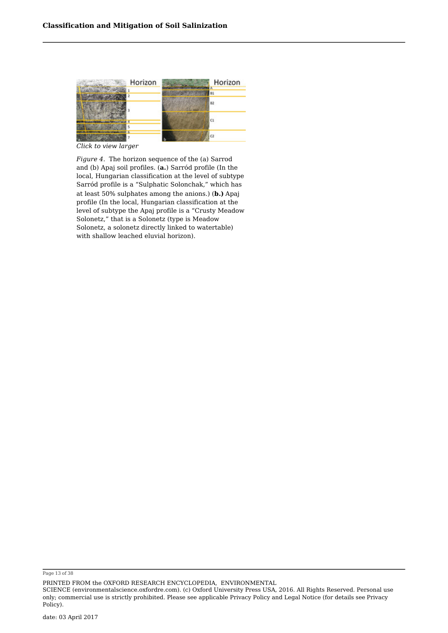

*Click to view larger*

*Figure 4.* The horizon sequence of the (a) Sarrod and (b) Apaj soil profiles. (**a.**) Sarród profile (In the local, Hungarian classification at the level of subtype Sarród profile is a "Sulphatic Solonchak," which has at least 50% sulphates among the anions.) (**b.)** Apaj profile (In the local, Hungarian classification at the level of subtype the Apaj profile is a "Crusty Meadow Solonetz," that is a Solonetz (type is Meadow Solonetz, a solonetz directly linked to watertable) with shallow leached eluvial horizon).

Page 13 of 38

PRINTED FROM the OXFORD RESEARCH ENCYCLOPEDIA, ENVIRONMENTAL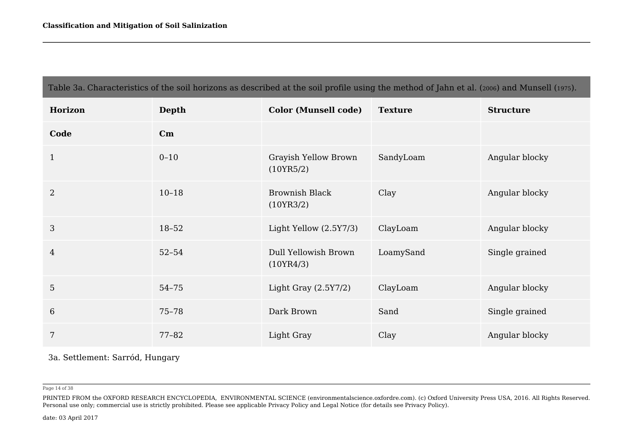| Horizon        | Depth                  | <b>Color (Munsell code)</b>       | <b>Texture</b> | <b>Structure</b> |
|----------------|------------------------|-----------------------------------|----------------|------------------|
| Code           | $\mathbf{C}\mathbf{m}$ |                                   |                |                  |
| $\mathbf{1}$   | $0 - 10$               | Grayish Yellow Brown<br>(10YR5/2) | SandyLoam      | Angular blocky   |
| $\overline{2}$ | $10 - 18$              | Brownish Black<br>(10YR3/2)       | Clay           | Angular blocky   |
| 3              | 18-52                  | Light Yellow (2.5Y7/3)            | ClayLoam       | Angular blocky   |
| $\overline{4}$ | $52 - 54$              | Dull Yellowish Brown<br>(10YR4/3) | LoamySand      | Single grained   |
| $5\phantom{.}$ | 54-75                  | Light Gray $(2.5Y7/2)$            | ClayLoam       | Angular blocky   |
| 6              | $75 - 78$              | Dark Brown                        | Sand           | Single grained   |
| $\overline{7}$ | $77 - 82$              | Light Gray                        | Clay           | Angular blocky   |

Table 3a. Characteristics of the soil horizons as described at the soil profile using the method of Jahn et al. (2006) and Munsell (1975).

3a. Settlement: Sarród, Hungary

Page 14 of 38

PRINTED FROM the OXFORD RESEARCH ENCYCLOPEDIA, ENVIRONMENTAL SCIENCE (environmentalscience.oxfordre.com). (c) Oxford University Press USA, 2016. All Rights Reserved. Personal use only; commercial use is strictly prohibited. Please see applicable Privacy Policy and Legal Notice (for details see Privacy Policy).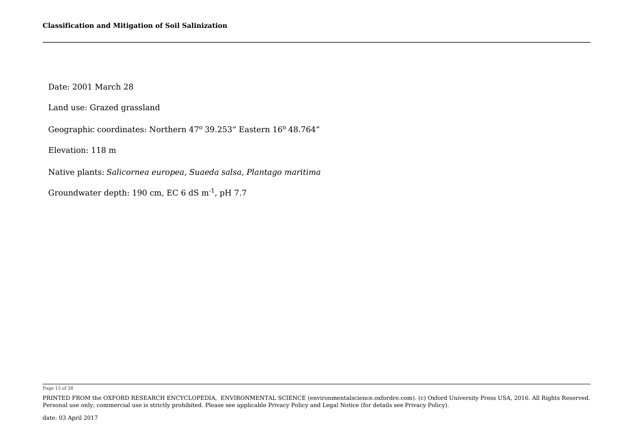Date: 2001 March 28

Land use: Grazed grassland

Geographic coordinates: Northern 47º 39.253" Eastern 16º 48.764"

Elevation: 118 m

Native plants: *Salicornea europea, Suaeda salsa, Plantago maritima*

Groundwater depth: 190 cm, EC 6 dS  $\mathrm{m^{1}}$ , pH 7.7  $\,$ 

Page 15 of 38

PRINTED FROM the OXFORD RESEARCH ENCYCLOPEDIA, ENVIRONMENTAL SCIENCE (environmentalscience.oxfordre.com). (c) Oxford University Press USA, 2016. All Rights Reserved. Personal use only; commercial use is strictly prohibited. Please see applicable Privacy Policy and Legal Notice (for details see Privacy Policy).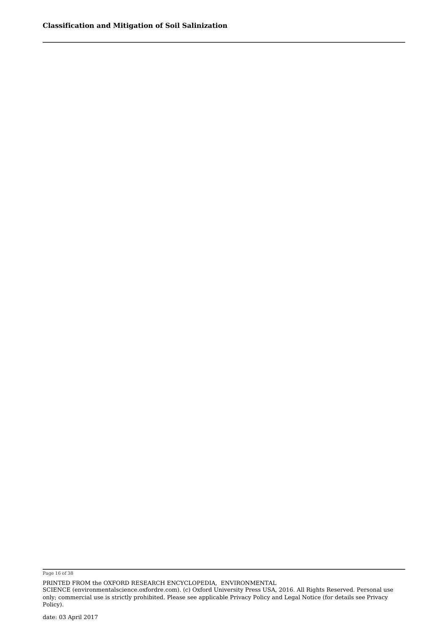Page 16 of 38

PRINTED FROM the OXFORD RESEARCH ENCYCLOPEDIA, ENVIRONMENTAL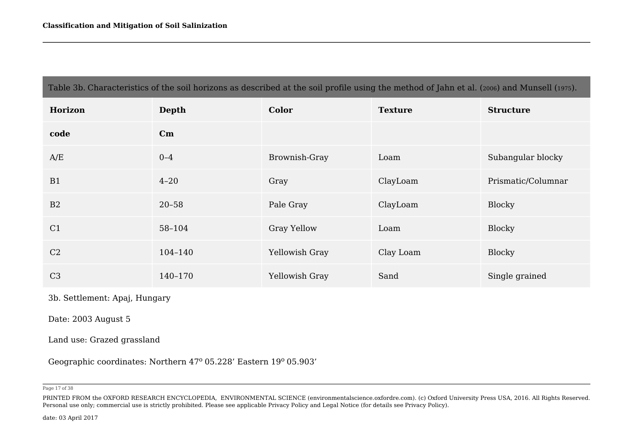|                |                        |                    | <u>. </u><br>$\mathbf{v}$ | <b>Service Contract Contract Contract Contract Contract Contract Contract Contract Contract Contract Contract Contract Contract Contract Contract Contract Contract Contract Contract Contract Contract Contract Contract Contra</b><br>and the contract of the contract of |
|----------------|------------------------|--------------------|---------------------------|-----------------------------------------------------------------------------------------------------------------------------------------------------------------------------------------------------------------------------------------------------------------------------|
| Horizon        | Depth                  | Color              | <b>Texture</b>            | <b>Structure</b>                                                                                                                                                                                                                                                            |
| code           | $\mathbf{C}\mathbf{m}$ |                    |                           |                                                                                                                                                                                                                                                                             |
| A/E            | $0 - 4$                | Brownish-Gray      | Loam                      | Subangular blocky                                                                                                                                                                                                                                                           |
| B1             | $4 - 20$               | Gray               | ClayLoam                  | Prismatic/Columnar                                                                                                                                                                                                                                                          |
| B2             | $20 - 58$              | Pale Gray          | ClayLoam                  | Blocky                                                                                                                                                                                                                                                                      |
| C1             | 58-104                 | <b>Gray Yellow</b> | Loam                      | Blocky                                                                                                                                                                                                                                                                      |
| C <sub>2</sub> | 104-140                | Yellowish Gray     | Clay Loam                 | Blocky                                                                                                                                                                                                                                                                      |
| C <sub>3</sub> | 140-170                | Yellowish Gray     | Sand                      | Single grained                                                                                                                                                                                                                                                              |

Table 3b. Characteristics of the soil horizons as described at the soil profile using the method of Jahn et al. (2006) and Munsell (1975).

3b. Settlement: Apaj, Hungary

Date: 2003 August 5

Land use: Grazed grassland

Geographic coordinates: Northern 47° 05.228' Eastern 19° 05.903'

Page 17 of 38

PRINTED FROM the OXFORD RESEARCH ENCYCLOPEDIA, ENVIRONMENTAL SCIENCE (environmentalscience.oxfordre.com). (c) Oxford University Press USA, 2016. All Rights Reserved. Personal use only; commercial use is strictly prohibited. Please see applicable Privacy Policy and Legal Notice (for details see Privacy Policy).

date: 03 April 2017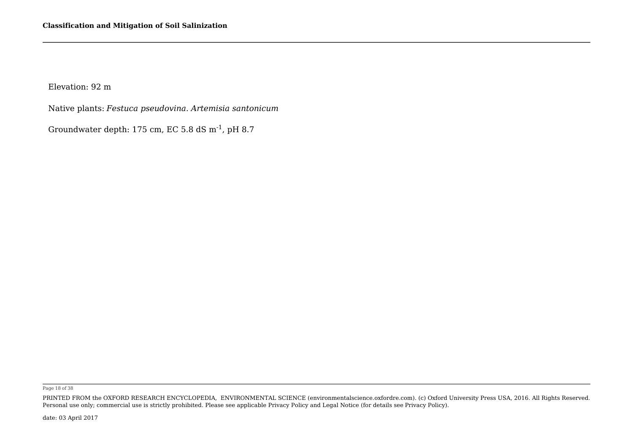Elevation: 92 m

Native plants: *Festuca pseudovina. Artemisia santonicum*

Groundwater depth:  $175$  cm, EC  $5.8$  dS m<sup>-1</sup>, pH 8.7

Page 18 of 38

PRINTED FROM the OXFORD RESEARCH ENCYCLOPEDIA, ENVIRONMENTAL SCIENCE (environmentalscience.oxfordre.com). (c) Oxford University Press USA, 2016. All Rights Reserved. Personal use only; commercial use is strictly prohibited. Please see applicable Privacy Policy and Legal Notice (for details see Privacy Policy).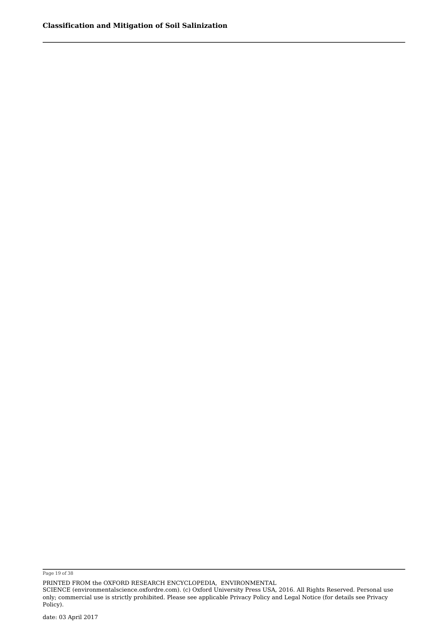Page 19 of 38

PRINTED FROM the OXFORD RESEARCH ENCYCLOPEDIA, ENVIRONMENTAL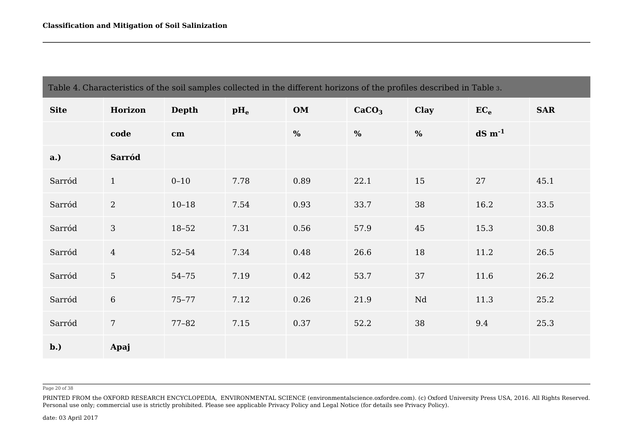| Table 4. Characteristics of the soil samples collected in the different horizons of the profiles described in Table 3. |                 |               |                            |      |                   |          |                      |            |
|------------------------------------------------------------------------------------------------------------------------|-----------------|---------------|----------------------------|------|-------------------|----------|----------------------|------------|
| <b>Site</b>                                                                                                            | Horizon         | Depth         | $\mathbf{pH}_{\mathbf{e}}$ | OM   | CaCO <sub>3</sub> | Clay     | $EC_e$               | <b>SAR</b> |
|                                                                                                                        | code            | $\mathbf{cm}$ |                            | $\%$ | $\%$              | $\%$     | $dS$ m <sup>-1</sup> |            |
| a.)                                                                                                                    | Sarród          |               |                            |      |                   |          |                      |            |
| Sarród                                                                                                                 | $\mathbf{1}$    | $0 - 10$      | 7.78                       | 0.89 | 22.1              | 15       | 27                   | 45.1       |
| Sarród                                                                                                                 | 2               | $10 - 18$     | 7.54                       | 0.93 | 33.7              | 38       | 16.2                 | 33.5       |
| Sarród                                                                                                                 | $\mathbf{3}$    | 18-52         | 7.31                       | 0.56 | 57.9              | 45       | 15.3                 | 30.8       |
| Sarród                                                                                                                 | $\overline{4}$  | $52 - 54$     | 7.34                       | 0.48 | 26.6              | 18       | 11.2                 | 26.5       |
| Sarród                                                                                                                 | 5 <sup>5</sup>  | $54 - 75$     | 7.19                       | 0.42 | 53.7              | 37       | 11.6                 | 26.2       |
| Sarród                                                                                                                 | $6\,$           | $75 - 77$     | 7.12                       | 0.26 | $21.9\,$          | $\rm Nd$ | 11.3                 | 25.2       |
| Sarród                                                                                                                 | $7\overline{ }$ | 77-82         | 7.15                       | 0.37 | 52.2              | 38       | 9.4                  | 25.3       |
| $\mathbf{b}$ .)                                                                                                        | Apaj            |               |                            |      |                   |          |                      |            |

Page 20 of 38

PRINTED FROM the OXFORD RESEARCH ENCYCLOPEDIA, ENVIRONMENTAL SCIENCE (environmentalscience.oxfordre.com). (c) Oxford University Press USA, 2016. All Rights Reserved. Personal use only; commercial use is strictly prohibited. Please see applicable Privacy Policy and Legal Notice (for details see Privacy Policy).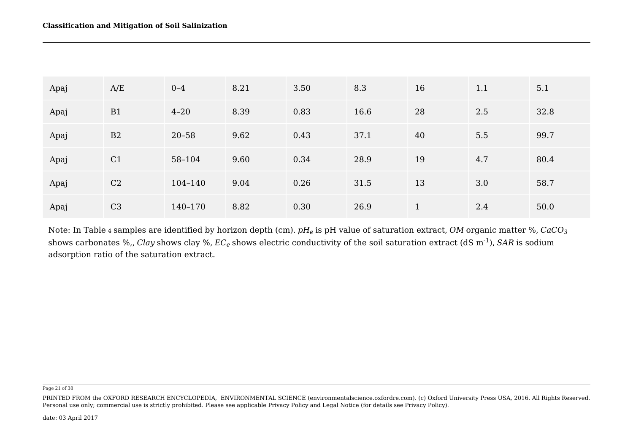| Apaj | A/E            | $0 - 4$   | 8.21 | 3.50 | 8.3  | 16 | 1.1 | 5.1  |
|------|----------------|-----------|------|------|------|----|-----|------|
| Apaj | B <sub>1</sub> | $4 - 20$  | 8.39 | 0.83 | 16.6 | 28 | 2.5 | 32.8 |
| Apaj | B <sub>2</sub> | $20 - 58$ | 9.62 | 0.43 | 37.1 | 40 | 5.5 | 99.7 |
| Apaj | C1             | 58-104    | 9.60 | 0.34 | 28.9 | 19 | 4.7 | 80.4 |
| Apaj | C <sub>2</sub> | 104-140   | 9.04 | 0.26 | 31.5 | 13 | 3.0 | 58.7 |
| Apaj | C <sub>3</sub> | 140-170   | 8.82 | 0.30 | 26.9 |    | 2.4 | 50.0 |

Note: In Table 4 samples are identified by horizon depth (cm).  $pH_e$  is pH value of saturation extract, *OM* organic matter %, *CaCO*<sub>3</sub> shows carbonates %*,, Clay* shows clay %*, EC<sub>e</sub>* shows electric conductivity of the soil saturation extract (dS m<sup>-1</sup>), *SAR* is sodium rote: in Table 4 samples are identified by horizon depth (cm).  $\mu_{I_e}$  is pri value of saturation extract, OM organic matter %, CaCO<sub>3</sub><br>shows carbonates %,, *Clay* shows clay %, *EC<sub>e</sub>* shows electric conductivity of the  $_e$  shows electric conductivity of the soil saturation extract (dS  $\mathrm{m}^\text{-1}$ 

Page 21 of 38

PRINTED FROM the OXFORD RESEARCH ENCYCLOPEDIA, ENVIRONMENTAL SCIENCE (environmentalscience.oxfordre.com). (c) Oxford University Press USA, 2016. All Rights Reserved. Personal use only; commercial use is strictly prohibited. Please see applicable Privacy Policy and Legal Notice (for details see Privacy Policy).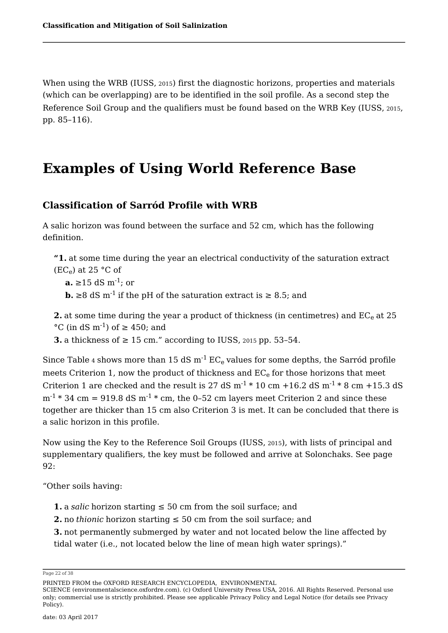When using the WRB (IUSS, <sup>2015</sup>) first the diagnostic horizons, properties and materials (which can be overlapping) are to be identified in the soil profile. As a second step the Reference Soil Group and the qualifiers must be found based on the WRB Key (IUSS, <sup>2015</sup>, pp. 85–116).

### **Examples of Using World Reference Base**

#### **Classification of Sarród Profile with WRB**

A salic horizon was found between the surface and 52 cm, which has the following definition.

**"1.** at some time during the year an electrical conductivity of the saturation extract  $(EC_e)$  at 25  $^{\circ}$ C of

 $\mathbf{a.} \geq 15 \text{ dS m}^{-1}$ ; or

**b.** ≥8 dS m<sup>-1</sup> if the pH of the saturation extract is ≥ 8.5; and

**2.** at some time during the year a product of thickness (in centimetres) and  $\mathrm{EC}_\mathrm{e}$  at 25  $^{\circ}$ C (in dS m<sup>-1</sup>) of  $\geq$  450; and

**3.** a thickness of  $\geq 15$  cm." according to IUSS, 2015 pp. 53-54.

Since Table 4 shows more than 15 dS  $\mathrm{m^{1} \, EC_{e}}$  values for some depths, the Sarród profile meets Criterion 1, now the product of thickness and  $\mathrm{EC}_\mathrm{e}$  for those horizons that meet Criterion 1 are checked and the result is 27 dS  $\mathrm{m^{1}}$  \* 10 cm +16.2 dS  $\mathrm{m^{1}}$  \* 8 cm +15.3 dS  $\rm m^{\text{-}1 \, * \, 34 \, \, cm = \, 919.8 \, \, dS \, \, m^{\text{-}1 \, *} \, \, cm}$ , the 0–52 cm layers meet Criterion 2 and since these together are thicker than 15 cm also Criterion 3 is met. It can be concluded that there is a salic horizon in this profile.

Now using the Key to the Reference Soil Groups (IUSS, 2015), with lists of principal and supplementary qualifiers, the key must be followed and arrive at Solonchaks. See page 92:

"Other soils having:

- **1.** a *salic* horizon starting  $\leq 50$  cm from the soil surface; and
- **2.** no *thionic* horizon starting  $\leq 50$  cm from the soil surface; and

**3.** not permanently submerged by water and not located below the line affected by tidal water (i.e., not located below the line of mean high water springs)."

Page 22 of 38

PRINTED FROM the OXFORD RESEARCH ENCYCLOPEDIA, ENVIRONMENTAL

SCIENCE (environmentalscience.oxfordre.com). (c) Oxford University Press USA, 2016. All Rights Reserved. Personal use only; commercial use is strictly prohibited. Please see applicable Privacy Policy and Legal Notice (for details see Privacy Policy).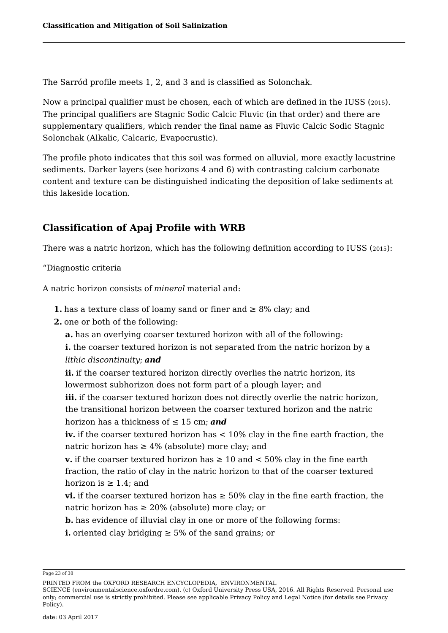The Sarród profile meets 1, 2, and 3 and is classified as Solonchak.

Now a principal qualifier must be chosen, each of which are defined in the IUSS (2015). The principal qualifiers are Stagnic Sodic Calcic Fluvic (in that order) and there are supplementary qualifiers, which render the final name as Fluvic Calcic Sodic Stagnic Solonchak (Alkalic, Calcaric, Evapocrustic).

The profile photo indicates that this soil was formed on alluvial, more exactly lacustrine sediments. Darker layers (see horizons 4 and 6) with contrasting calcium carbonate content and texture can be distinguished indicating the deposition of lake sediments at this lakeside location.

### **Classification of Apaj Profile with WRB**

There was a natric horizon, which has the following definition according to IUSS (2015):

"Diagnostic criteria

A natric horizon consists of *mineral* material and:

- **1.** has a texture class of loamy sand or finer and  $\geq 8\%$  clay; and
- **2.** one or both of the following:
	- **a.** has an overlying coarser textured horizon with all of the following:

**i.** the coarser textured horizon is not separated from the natric horizon by a *lithic discontinuity*; *and*

ii. if the coarser textured horizon directly overlies the natric horizon, its lowermost subhorizon does not form part of a plough layer; and

**iii.** if the coarser textured horizon does not directly overlie the natric horizon, the transitional horizon between the coarser textured horizon and the natric

horizon has a thickness of  $\leq 15$  cm; **and** 

**iv.** if the coarser textured horizon has < 10% clay in the fine earth fraction, the natric horizon has  $\geq 4\%$  (absolute) more clay; and

**v.** if the coarser textured horizon has  $\geq 10$  and  $\lt 50\%$  clay in the fine earth fraction, the ratio of clay in the natric horizon to that of the coarser textured horizon is  $\geq 1.4$ ; and

**vi.** if the coarser textured horizon has  $\geq 50\%$  clay in the fine earth fraction, the natric horizon has  $\geq 20\%$  (absolute) more clay; or

**b.** has evidence of illuvial clay in one or more of the following forms:

**i.** oriented clay bridging  $\geq$  5% of the sand grains; or

Page 23 of 38

PRINTED FROM the OXFORD RESEARCH ENCYCLOPEDIA, ENVIRONMENTAL

SCIENCE (environmentalscience.oxfordre.com). (c) Oxford University Press USA, 2016. All Rights Reserved. Personal use only; commercial use is strictly prohibited. Please see applicable Privacy Policy and Legal Notice (for details see Privacy Policy).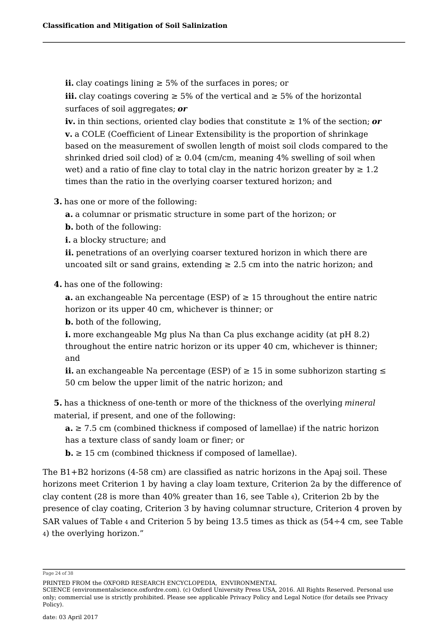**ii.** clay coatings lining  $≥ 5%$  of the surfaces in pores; or

**iii.** clay coatings covering ≥ 5% of the vertical and ≥ 5% of the horizontal surfaces of soil aggregates; *or*

**iv.** in thin sections, oriented clay bodies that constitute  $\geq 1\%$  of the section; *or* **v.** a COLE (Coefficient of Linear Extensibility is the proportion of shrinkage based on the measurement of swollen length of moist soil clods compared to the shrinked dried soil clod) of  $\geq 0.04$  (cm/cm, meaning 4% swelling of soil when wet) and a ratio of fine clay to total clay in the natric horizon greater by  $\geq 1.2$ times than the ratio in the overlying coarser textured horizon; and

**3.** has one or more of the following:

**a.** a columnar or prismatic structure in some part of the horizon; or

**b.** both of the following:

*i.* a blocky structure; and

**ii.** penetrations of an overlying coarser textured horizon in which there are uncoated silt or sand grains, extending  $\geq 2.5$  cm into the natric horizon; and

#### **4.** has one of the following:

**a.** an exchangeable Na percentage (ESP) of  $\geq$  15 throughout the entire natric horizon or its upper 40 cm, whichever is thinner; or

**b.** both of the following,

**i.** more exchangeable Mg plus Na than Ca plus exchange acidity (at pH 8.2) throughout the entire natric horizon or its upper 40 cm, whichever is thinner; and

**ii.** an exchangeable Na percentage (ESP) of  $≥ 15$  in some subhorizon starting  $≤$ 50 cm below the upper limit of the natric horizon; and

**5.** has a thickness of one-tenth or more of the thickness of the overlying *mineral* material, if present, and one of the following:

 $a. \geq 7.5$  cm (combined thickness if composed of lamellae) if the natric horizon has a texture class of sandy loam or finer; or

 $\mathbf{b} \geq 15$  cm (combined thickness if composed of lamellae).

The B1+B2 horizons (4-58 cm) are classified as natric horizons in the Apaj soil. These horizons meet Criterion 1 by having a clay loam texture, Criterion 2a by the difference of clay content (28 is more than 40% greater than 16, see Table <sup>4</sup>), Criterion 2b by the presence of clay coating, Criterion 3 by having columnar structure, Criterion 4 proven by SAR values of Table 4 and Criterion 5 by being 13.5 times as thick as  $(54 \div 4 \text{ cm}, \text{ see Table})$ 4) the overlying horizon."

Page 24 of 38

PRINTED FROM the OXFORD RESEARCH ENCYCLOPEDIA, ENVIRONMENTAL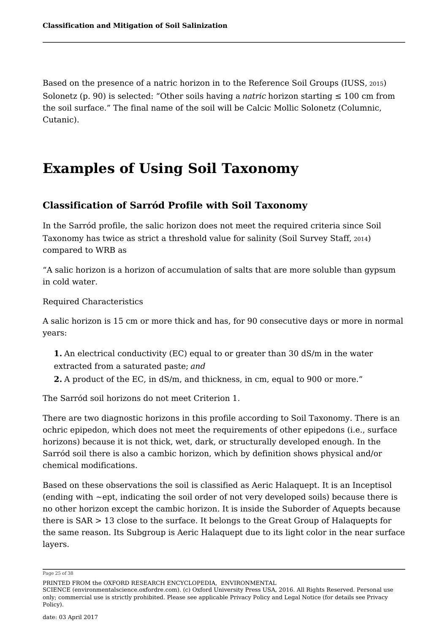Based on the presence of a natric horizon in to the Reference Soil Groups (IUSS, <sup>2015</sup>) Solonetz (p. 90) is selected: "Other soils having a *natric* horizon starting  $\leq 100$  cm from the soil surface." The final name of the soil will be Calcic Mollic Solonetz (Columnic, Cutanic).

### **Examples of Using Soil Taxonomy**

#### **Classification of Sarród Profile with Soil Taxonomy**

In the Sarród profile, the salic horizon does not meet the required criteria since Soil Taxonomy has twice as strict a threshold value for salinity (Soil Survey Staff, <sup>2014</sup>) compared to WRB as

"A salic horizon is a horizon of accumulation of salts that are more soluble than gypsum in cold water.

Required Characteristics

A salic horizon is 15 cm or more thick and has, for 90 consecutive days or more in normal years:

**1.** An electrical conductivity (EC) equal to or greater than 30 dS/m in the water extracted from a saturated paste; *and*

**2.** A product of the EC, in dS/m, and thickness, in cm, equal to 900 or more."

The Sarród soil horizons do not meet Criterion 1.

There are two diagnostic horizons in this profile according to Soil Taxonomy. There is an ochric epipedon, which does not meet the requirements of other epipedons (i.e., surface horizons) because it is not thick, wet, dark, or structurally developed enough. In the Sarród soil there is also a cambic horizon, which by definition shows physical and/or chemical modifications.

Based on these observations the soil is classified as Aeric Halaquept. It is an Inceptisol (ending with ~ept, indicating the soil order of not very developed soils) because there is no other horizon except the cambic horizon. It is inside the Suborder of Aquepts because there is SAR > 13 close to the surface. It belongs to the Great Group of Halaquepts for the same reason. Its Subgroup is Aeric Halaquept due to its light color in the near surface layers.

Page 25 of 38

PRINTED FROM the OXFORD RESEARCH ENCYCLOPEDIA, ENVIRONMENTAL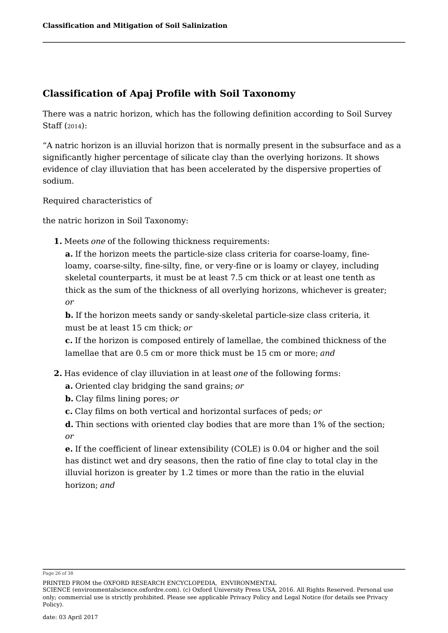#### **Classification of Apaj Profile with Soil Taxonomy**

There was a natric horizon, which has the following definition according to Soil Survey Staff (2014):

"A natric horizon is an illuvial horizon that is normally present in the subsurface and as a significantly higher percentage of silicate clay than the overlying horizons. It shows evidence of clay illuviation that has been accelerated by the dispersive properties of sodium.

Required characteristics of

the natric horizon in Soil Taxonomy:

**1.** Meets *one* of the following thickness requirements:

**a.** If the horizon meets the particle-size class criteria for coarse-loamy, fineloamy, coarse-silty, fine-silty, fine, or very-fine or is loamy or clayey, including skeletal counterparts, it must be at least 7.5 cm thick or at least one tenth as thick as the sum of the thickness of all overlying horizons, whichever is greater; *or*

**b.** If the horizon meets sandy or sandy-skeletal particle-size class criteria, it must be at least 15 cm thick; *or*

**c.** If the horizon is composed entirely of lamellae, the combined thickness of the lamellae that are 0.5 cm or more thick must be 15 cm or more; *and*

**2.** Has evidence of clay illuviation in at least *one* of the following forms:

- **a.** Oriented clay bridging the sand grains; *or*
- **b.** Clay films lining pores; *or*
- **c.** Clay films on both vertical and horizontal surfaces of peds; *or*

**d.** Thin sections with oriented clay bodies that are more than 1% of the section; *or*

**e.** If the coefficient of linear extensibility (COLE) is 0.04 or higher and the soil has distinct wet and dry seasons, then the ratio of fine clay to total clay in the illuvial horizon is greater by 1.2 times or more than the ratio in the eluvial horizon; *and*

Page 26 of 38

PRINTED FROM the OXFORD RESEARCH ENCYCLOPEDIA, ENVIRONMENTAL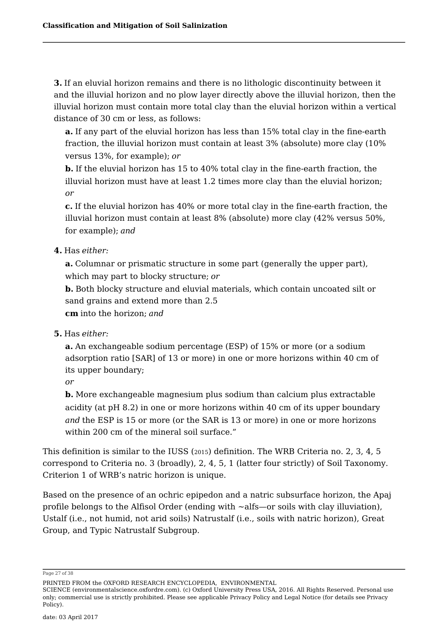**3.** If an eluvial horizon remains and there is no lithologic discontinuity between it and the illuvial horizon and no plow layer directly above the illuvial horizon, then the illuvial horizon must contain more total clay than the eluvial horizon within a vertical distance of 30 cm or less, as follows:

**a.** If any part of the eluvial horizon has less than 15% total clay in the fine-earth fraction, the illuvial horizon must contain at least 3% (absolute) more clay (10% versus 13%, for example); *or*

**b.** If the eluvial horizon has 15 to 40% total clay in the fine-earth fraction, the illuvial horizon must have at least 1.2 times more clay than the eluvial horizon; *or*

**c.** If the eluvial horizon has 40% or more total clay in the fine-earth fraction, the illuvial horizon must contain at least 8% (absolute) more clay (42% versus 50%, for example); *and*

#### **4.** Has *either:*

**a.** Columnar or prismatic structure in some part (generally the upper part), which may part to blocky structure; *or*

**b.** Both blocky structure and eluvial materials, which contain uncoated silt or sand grains and extend more than 2.5 **cm** into the horizon; *and*

#### **5.** Has *either:*

**a.** An exchangeable sodium percentage (ESP) of 15% or more (or a sodium adsorption ratio [SAR] of 13 or more) in one or more horizons within 40 cm of its upper boundary;

*or*

**b.** More exchangeable magnesium plus sodium than calcium plus extractable acidity (at pH 8.2) in one or more horizons within 40 cm of its upper boundary *and* the ESP is 15 or more (or the SAR is 13 or more) in one or more horizons within 200 cm of the mineral soil surface."

This definition is similar to the IUSS (2015) definition. The WRB Criteria no. 2, 3, 4, 5 correspond to Criteria no. 3 (broadly), 2, 4, 5, 1 (latter four strictly) of Soil Taxonomy. Criterion 1 of WRB's natric horizon is unique.

Based on the presence of an ochric epipedon and a natric subsurface horizon, the Apaj profile belongs to the Alfisol Order (ending with ~alfs—or soils with clay illuviation), Ustalf (i.e., not humid, not arid soils) Natrustalf (i.e., soils with natric horizon), Great Group, and Typic Natrustalf Subgroup.

Page 27 of 38

PRINTED FROM the OXFORD RESEARCH ENCYCLOPEDIA, ENVIRONMENTAL

SCIENCE (environmentalscience.oxfordre.com). (c) Oxford University Press USA, 2016. All Rights Reserved. Personal use only; commercial use is strictly prohibited. Please see applicable Privacy Policy and Legal Notice (for details see Privacy Policy).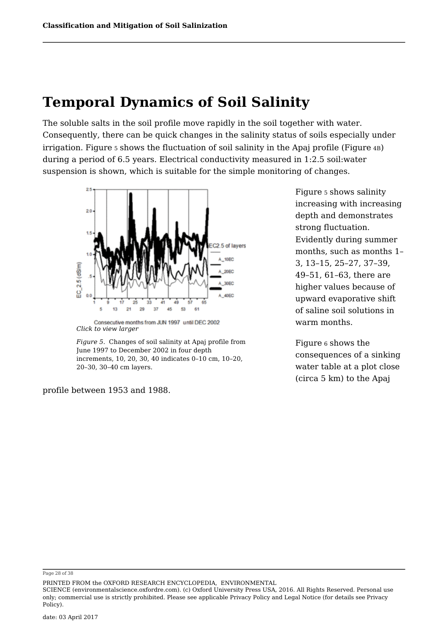### **Temporal Dynamics of Soil Salinity**

The soluble salts in the soil profile move rapidly in the soil together with water. Consequently, there can be quick changes in the salinity status of soils especially under irrigation. Figure <sup>5</sup> shows the fluctuation of soil salinity in the Apaj profile (Figure 4B) during a period of 6.5 years. Electrical conductivity measured in 1:2.5 soil:water suspension is shown, which is suitable for the simple monitoring of changes.



Consecutive months from JUN 1997 until DEC 2002 *Click to view larger*

*Figure 5.* Changes of soil salinity at Apaj profile from June 1997 to December 2002 in four depth increments, 10, 20, 30, 40 indicates 0–10 cm, 10–20, 20–30, 30–40 cm layers.

profile between 1953 and 1988.

Figure <sup>5</sup> shows salinity increasing with increasing depth and demonstrates strong fluctuation. Evidently during summer months, such as months 1– 3, 13–15, 25–27, 37–39, 49–51, 61–63, there are higher values because of upward evaporative shift of saline soil solutions in warm months.

Figure 6 shows the consequences of a sinking water table at a plot close (circa 5 km) to the Apaj

Page 28 of 38

PRINTED FROM the OXFORD RESEARCH ENCYCLOPEDIA, ENVIRONMENTAL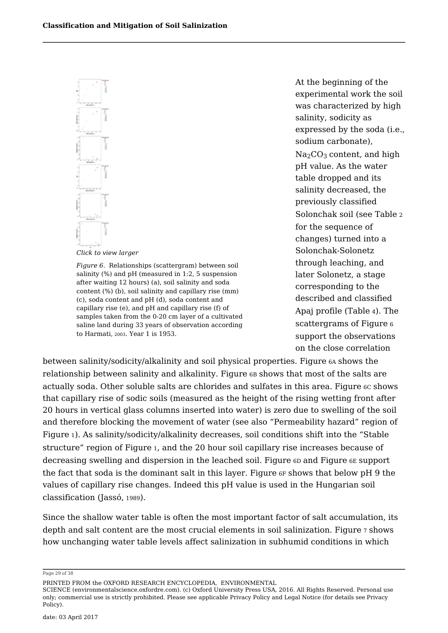

*Click to view larger*

*Figure 6.* Relationships (scattergram) between soil salinity (%) and pH (measured in 1:2, 5 suspension after waiting 12 hours) (a), soil salinity and soda content (%) (b), soil salinity and capillary rise (mm) (c), soda content and pH (d), soda content and capillary rise (e), and pH and capillary rise (f) of samples taken from the 0-20 cm layer of a cultivated saline land during 33 years of observation according to Harmati, <sup>2003</sup>. Year 1 is 1953.

At the beginning of the experimental work the soil was characterized by high salinity, sodicity as expressed by the soda (i.e., sodium carbonate),  $\rm Na_2CO_3$  content, and high pH value. As the water table dropped and its salinity decreased, the previously classified Solonchak soil (see Table <sup>2</sup> for the sequence of changes) turned into a Solonchak-Solonetz through leaching, and later Solonetz, a stage corresponding to the described and classified Apaj profile (Table 4). The scattergrams of Figure  $6$ support the observations on the close correlation

between salinity/sodicity/alkalinity and soil physical properties. Figure 6A shows the relationship between salinity and alkalinity. Figure 6B shows that most of the salts are actually soda. Other soluble salts are chlorides and sulfates in this area. Figure 6C shows that capillary rise of sodic soils (measured as the height of the rising wetting front after 20 hours in vertical glass columns inserted into water) is zero due to swelling of the soil and therefore blocking the movement of water (see also "Permeability hazard" region of Figure 1). As salinity/sodicity/alkalinity decreases, soil conditions shift into the "Stable structure" region of Figure <sup>1</sup>, and the 20 hour soil capillary rise increases because of decreasing swelling and dispersion in the leached soil. Figure 6D and Figure 6E support the fact that soda is the dominant salt in this layer. Figure 6F shows that below pH 9 the values of capillary rise changes. Indeed this pH value is used in the Hungarian soil classification (Jassó, <sup>1989</sup>).

Since the shallow water table is often the most important factor of salt accumulation, its depth and salt content are the most crucial elements in soil salinization. Figure 7 shows how unchanging water table levels affect salinization in subhumid conditions in which

Page 29 of 38

PRINTED FROM the OXFORD RESEARCH ENCYCLOPEDIA, ENVIRONMENTAL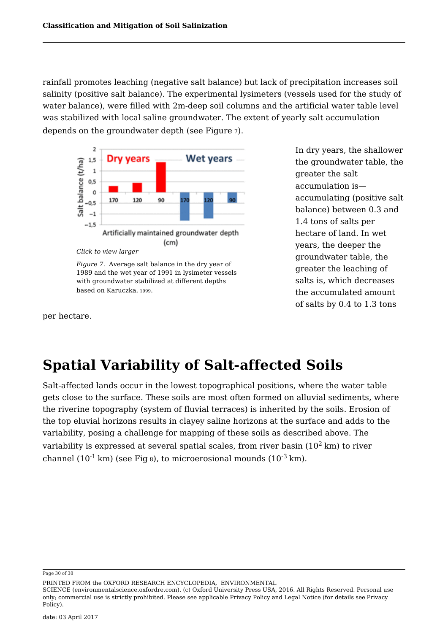rainfall promotes leaching (negative salt balance) but lack of precipitation increases soil salinity (positive salt balance). The experimental lysimeters (vessels used for the study of water balance), were filled with 2m-deep soil columns and the artificial water table level was stabilized with local saline groundwater. The extent of yearly salt accumulation depends on the groundwater depth (see Figure <sup>7</sup>).



*Figure 7.* Average salt balance in the dry year of 1989 and the wet year of 1991 in lysimeter vessels with groundwater stabilized at different depths based on Karuczka, <sup>1999</sup>.

In dry years, the shallower the groundwater table, the greater the salt accumulation is accumulating (positive salt balance) between 0.3 and 1.4 tons of salts per hectare of land. In wet years, the deeper the groundwater table, the greater the leaching of salts is, which decreases the accumulated amount of salts by 0.4 to 1.3 tons

per hectare.

## **Spatial Variability of Salt-affected Soils**

Salt-affected lands occur in the lowest topographical positions, where the water table gets close to the surface. These soils are most often formed on alluvial sediments, where the riverine topography (system of fluvial terraces) is inherited by the soils. Erosion of the top eluvial horizons results in clayey saline horizons at the surface and adds to the variability, posing a challenge for mapping of these soils as described above. The variability is expressed at several spatial scales, from river basin (10 $^2$  km) to river channel (10<sup>-1</sup> km) (see Fig 8), to microerosional mounds (10<sup>-3</sup> km).

Page 30 of 38

PRINTED FROM the OXFORD RESEARCH ENCYCLOPEDIA, ENVIRONMENTAL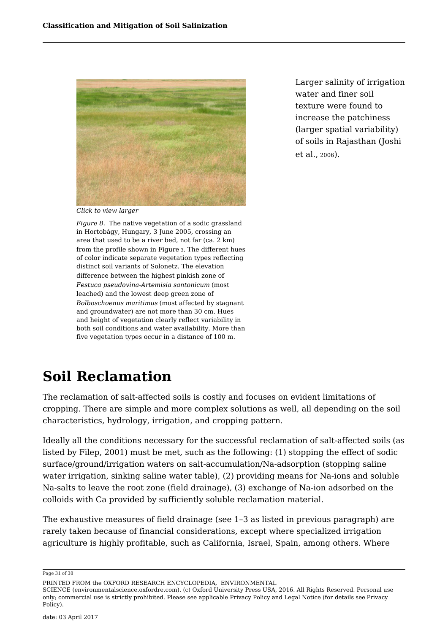

Larger salinity of irrigation water and finer soil texture were found to increase the patchiness (larger spatial variability) of soils in Rajasthan (Joshi et al., <sup>2006</sup>).

*Click to view larger*

*Figure 8.* The native vegetation of a sodic grassland in Hortobágy, Hungary, 3 June 2005, crossing an area that used to be a river bed, not far (ca. 2 km) from the profile shown in Figure <sup>3</sup>. The different hues of color indicate separate vegetation types reflecting distinct soil variants of Solonetz. The elevation difference between the highest pinkish zone of *Festuca pseudovina-Artemisia santonicum* (most leached) and the lowest deep green zone of *Bolboschoenus maritimus* (most affected by stagnant and groundwater) are not more than 30 cm. Hues and height of vegetation clearly reflect variability in both soil conditions and water availability. More than five vegetation types occur in a distance of 100 m.

## **Soil Reclamation**

The reclamation of salt-affected soils is costly and focuses on evident limitations of cropping. There are simple and more complex solutions as well, all depending on the soil characteristics, hydrology, irrigation, and cropping pattern.

Ideally all the conditions necessary for the successful reclamation of salt-affected soils (as listed by Filep, 2001) must be met, such as the following: (1) stopping the effect of sodic surface/ground/irrigation waters on salt-accumulation/Na-adsorption (stopping saline water irrigation, sinking saline water table), (2) providing means for Na-ions and soluble Na-salts to leave the root zone (field drainage), (3) exchange of Na-ion adsorbed on the colloids with Ca provided by sufficiently soluble reclamation material.

The exhaustive measures of field drainage (see 1–3 as listed in previous paragraph) are rarely taken because of financial considerations, except where specialized irrigation agriculture is highly profitable, such as California, Israel, Spain, among others. Where

Page 31 of 38

PRINTED FROM the OXFORD RESEARCH ENCYCLOPEDIA, ENVIRONMENTAL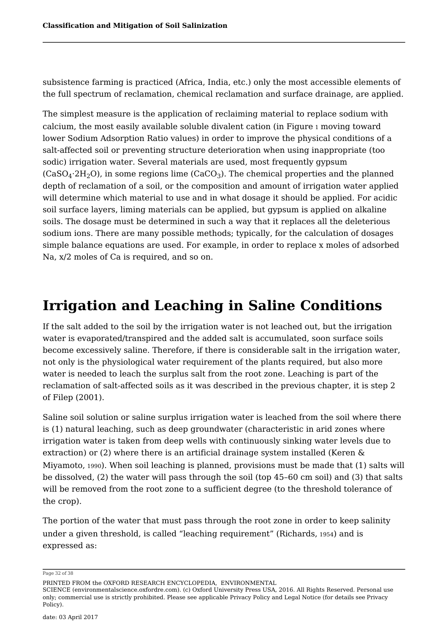subsistence farming is practiced (Africa, India, etc.) only the most accessible elements of the full spectrum of reclamation, chemical reclamation and surface drainage, are applied.

The simplest measure is the application of reclaiming material to replace sodium with calcium, the most easily available soluble divalent cation (in Figure <sup>1</sup> moving toward lower Sodium Adsorption Ratio values) in order to improve the physical conditions of a salt-affected soil or preventing structure deterioration when using inappropriate (too sodic) irrigation water. Several materials are used, most frequently gypsum (CaSO $_4$ ·2H $_2$ O), in some regions lime (CaCO $_3$ ). The chemical properties and the planned depth of reclamation of a soil, or the composition and amount of irrigation water applied will determine which material to use and in what dosage it should be applied. For acidic soil surface layers, liming materials can be applied, but gypsum is applied on alkaline soils. The dosage must be determined in such a way that it replaces all the deleterious sodium ions. There are many possible methods; typically, for the calculation of dosages simple balance equations are used. For example, in order to replace x moles of adsorbed Na, x/2 moles of Ca is required, and so on.

## **Irrigation and Leaching in Saline Conditions**

If the salt added to the soil by the irrigation water is not leached out, but the irrigation water is evaporated/transpired and the added salt is accumulated, soon surface soils become excessively saline. Therefore, if there is considerable salt in the irrigation water, not only is the physiological water requirement of the plants required, but also more water is needed to leach the surplus salt from the root zone. Leaching is part of the reclamation of salt-affected soils as it was described in the previous chapter, it is step 2 of Filep (2001).

Saline soil solution or saline surplus irrigation water is leached from the soil where there is (1) natural leaching, such as deep groundwater (characteristic in arid zones where irrigation water is taken from deep wells with continuously sinking water levels due to extraction) or (2) where there is an artificial drainage system installed (Keren & Miyamoto, <sup>1990</sup>). When soil leaching is planned, provisions must be made that (1) salts will be dissolved, (2) the water will pass through the soil (top 45–60 cm soil) and (3) that salts will be removed from the root zone to a sufficient degree (to the threshold tolerance of the crop).

The portion of the water that must pass through the root zone in order to keep salinity under a given threshold, is called "leaching requirement" (Richards, <sup>1954</sup>) and is expressed as:

Page 32 of 38

PRINTED FROM the OXFORD RESEARCH ENCYCLOPEDIA, ENVIRONMENTAL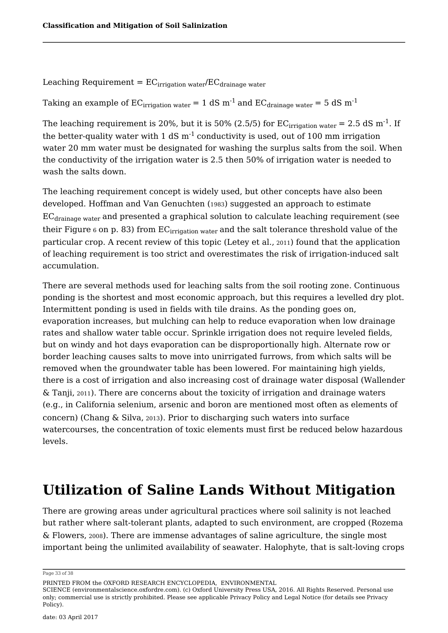Leaching Requirement  $= \mathrm{EC_{irrigation\ water}}/\mathrm{EC_{drainage\ water}}$ 

Taking an example of  $\mathrm{EC_{irrigation\ water}} = 1 \mathrm{~d} \mathrm{S~m^{\text{-}1}}$  and  $\mathrm{EC_{drainage\ water}} = 5 \mathrm{~d} \mathrm{S~m^{\text{-}1}}$ 

The leaching requirement is 20%, but it is 50% (2.5/5) for  $\rm EC_{irrigation\ water}$  = 2.5 dS m<sup>-1</sup>. If the better-quality water with 1 dS  $\mathrm{m}^\text{-1}$  conductivity is used, out of 100 mm irrigation water 20 mm water must be designated for washing the surplus salts from the soil. When the conductivity of the irrigation water is 2.5 then 50% of irrigation water is needed to wash the salts down.

The leaching requirement concept is widely used, but other concepts have also been developed. Hoffman and Van Genuchten (1983) suggested an approach to estimate  $\mathrm{EC}_{\mathrm{drainage\ water}}$  and presented a graphical solution to calculate leaching requirement (see their Figure 6 on p. 83) from EC<sub>irrigation water</sub> and the salt tolerance threshold value of the particular crop. A recent review of this topic (Letey et al., <sup>2011</sup>) found that the application of leaching requirement is too strict and overestimates the risk of irrigation-induced salt accumulation.

There are several methods used for leaching salts from the soil rooting zone. Continuous ponding is the shortest and most economic approach, but this requires a levelled dry plot. Intermittent ponding is used in fields with tile drains. As the ponding goes on, evaporation increases, but mulching can help to reduce evaporation when low drainage rates and shallow water table occur. Sprinkle irrigation does not require leveled fields, but on windy and hot days evaporation can be disproportionally high. Alternate row or border leaching causes salts to move into unirrigated furrows, from which salts will be removed when the groundwater table has been lowered. For maintaining high yields, there is a cost of irrigation and also increasing cost of drainage water disposal (Wallender & Tanji, 2011). There are concerns about the toxicity of irrigation and drainage waters (e.g., in California selenium, arsenic and boron are mentioned most often as elements of concern) (Chang & Silva, 2013). Prior to discharging such waters into surface watercourses, the concentration of toxic elements must first be reduced below hazardous levels.

## **Utilization of Saline Lands Without Mitigation**

There are growing areas under agricultural practices where soil salinity is not leached but rather where salt-tolerant plants, adapted to such environment, are cropped (Rozema & Flowers, <sup>2008</sup>). There are immense advantages of saline agriculture, the single most important being the unlimited availability of seawater. Halophyte, that is salt-loving crops

Page 33 of 38

PRINTED FROM the OXFORD RESEARCH ENCYCLOPEDIA, ENVIRONMENTAL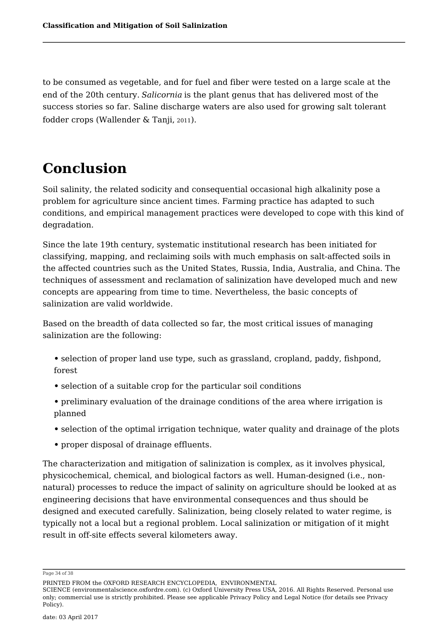to be consumed as vegetable, and for fuel and fiber were tested on a large scale at the end of the 20th century. *Salicornia* is the plant genus that has delivered most of the success stories so far. Saline discharge waters are also used for growing salt tolerant fodder crops (Wallender & Tanji, <sup>2011</sup>).

## **Conclusion**

Soil salinity, the related sodicity and consequential occasional high alkalinity pose a problem for agriculture since ancient times. Farming practice has adapted to such conditions, and empirical management practices were developed to cope with this kind of degradation.

Since the late 19th century, systematic institutional research has been initiated for classifying, mapping, and reclaiming soils with much emphasis on salt-affected soils in the affected countries such as the United States, Russia, India, Australia, and China. The techniques of assessment and reclamation of salinization have developed much and new concepts are appearing from time to time. Nevertheless, the basic concepts of salinization are valid worldwide.

Based on the breadth of data collected so far, the most critical issues of managing salinization are the following:

- **•** selection of proper land use type, such as grassland, cropland, paddy, fishpond, forest
- **•** selection of a suitable crop for the particular soil conditions
- **•** preliminary evaluation of the drainage conditions of the area where irrigation is planned
- **•** selection of the optimal irrigation technique, water quality and drainage of the plots
- **•** proper disposal of drainage effluents.

The characterization and mitigation of salinization is complex, as it involves physical, physicochemical, chemical, and biological factors as well. Human-designed (i.e., nonnatural) processes to reduce the impact of salinity on agriculture should be looked at as engineering decisions that have environmental consequences and thus should be designed and executed carefully. Salinization, being closely related to water regime, is typically not a local but a regional problem. Local salinization or mitigation of it might result in off-site effects several kilometers away.

Page 34 of 38

PRINTED FROM the OXFORD RESEARCH ENCYCLOPEDIA, ENVIRONMENTAL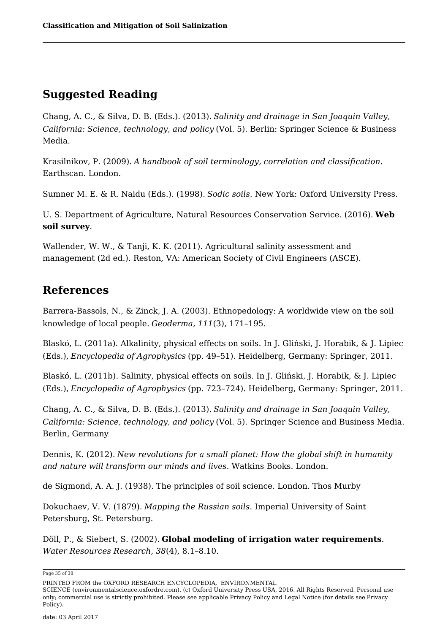### **Suggested Reading**

Chang, A. C., & Silva, D. B. (Eds.). (2013). *Salinity and drainage in San Joaquin Valley, California: Science, technology, and policy* (Vol. 5). Berlin: Springer Science & Business Media.

Krasilnikov, P. (2009). *A handbook of soil terminology, correlation and classification*. Earthscan. London.

Sumner M. E. & R. Naidu (Eds.). (1998). *Sodic soils*. New York: Oxford University Press.

U. S. Department of Agriculture, Natural Resources Conservation Service. (2016). **Web soil survey**.

Wallender, W. W., & Tanji, K. K. (2011). Agricultural salinity assessment and management (2d ed.). Reston, VA: American Society of Civil Engineers (ASCE).

### **References**

Barrera-Bassols, N., & Zinck, J. A. (2003). Ethnopedology: A worldwide view on the soil knowledge of local people. *Geoderma, 111*(3), 171–195.

Blaskó, L. (2011a). Alkalinity, physical effects on soils. In J. Gliński, J. Horabik, & J. Lipiec (Eds.), *Encyclopedia of Agrophysics* (pp. 49–51). Heidelberg, Germany: Springer, 2011.

Blaskó, L. (2011b). Salinity, physical effects on soils. In J. Gliński, J. Horabik, & J. Lipiec (Eds.), *Encyclopedia of Agrophysics* (pp. 723–724). Heidelberg, Germany: Springer, 2011.

Chang, A. C., & Silva, D. B. (Eds.). (2013). *Salinity and drainage in San Joaquin Valley, California: Science, technology, and policy* (Vol. 5). Springer Science and Business Media. Berlin, Germany

Dennis, K. (2012). *New revolutions for a small planet: How the global shift in humanity and nature will transform our minds and lives*. Watkins Books. London.

de Sigmond, A. A. J. (1938). The principles of soil science. London. Thos Murby

Dokuchaev, V. V. (1879). *Mapping the Russian soils*. Imperial University of Saint Petersburg, St. Petersburg.

Döll, P., & Siebert, S. (2002). **Global modeling of irrigation water requirements**. *Water Resources Research, 38*(4), 8.1–8.10.

Page 35 of 38

PRINTED FROM the OXFORD RESEARCH ENCYCLOPEDIA, ENVIRONMENTAL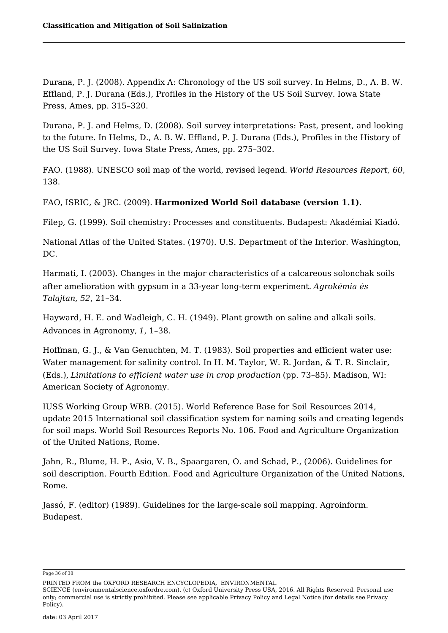Durana, P. J. (2008). Appendix A: Chronology of the US soil survey. In Helms, D., A. B. W. Effland, P. J. Durana (Eds.), Profiles in the History of the US Soil Survey. Iowa State Press, Ames, pp. 315–320.

Durana, P. J. and Helms, D. (2008). Soil survey interpretations: Past, present, and looking to the future. In Helms, D., A. B. W. Effland, P. J. Durana (Eds.), Profiles in the History of the US Soil Survey. Iowa State Press, Ames, pp. 275–302.

FAO. (1988). UNESCO soil map of the world, revised legend. *World Resources Report, 60*, 138.

FAO, ISRIC, & JRC. (2009). **Harmonized World Soil database (version 1.1)**.

Filep, G. (1999). Soil chemistry: Processes and constituents. Budapest: Akadémiai Kiadó.

National Atlas of the United States. (1970). U.S. Department of the Interior. Washington, DC.

Harmati, I. (2003). Changes in the major characteristics of a calcareous solonchak soils after amelioration with gypsum in a 33-year long-term experiment. *Agrokémia és Talajtan, 52*, 21–34.

Hayward, H. E. and Wadleigh, C. H. (1949). Plant growth on saline and alkali soils. Advances in Agronomy, *1*, 1–38.

Hoffman, G. J., & Van Genuchten, M. T. (1983). Soil properties and efficient water use: Water management for salinity control. In H. M. Taylor, W. R. Jordan, & T. R. Sinclair, (Eds.), *Limitations to efficient water use in crop production* (pp. 73–85). Madison, WI: American Society of Agronomy.

IUSS Working Group WRB. (2015). World Reference Base for Soil Resources 2014, update 2015 International soil classification system for naming soils and creating legends for soil maps. World Soil Resources Reports No. 106. Food and Agriculture Organization of the United Nations, Rome.

Jahn, R., Blume, H. P., Asio, V. B., Spaargaren, O. and Schad, P., (2006). Guidelines for soil description. Fourth Edition. Food and Agriculture Organization of the United Nations, Rome.

Jassó, F. (editor) (1989). Guidelines for the large-scale soil mapping. Agroinform. Budapest.

Page 36 of 38

PRINTED FROM the OXFORD RESEARCH ENCYCLOPEDIA, ENVIRONMENTAL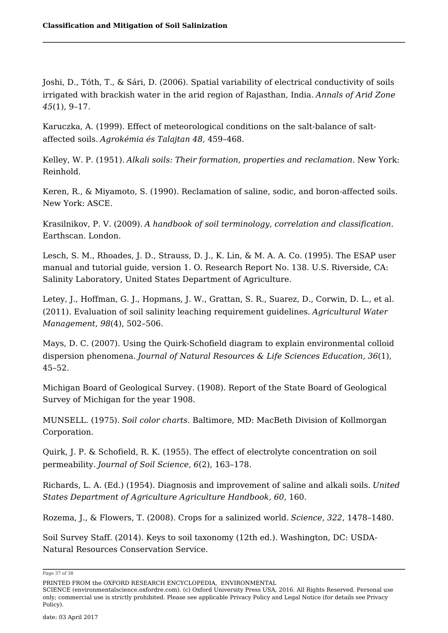Joshi, D., Tóth, T., & Sári, D. (2006). Spatial variability of electrical conductivity of soils irrigated with brackish water in the arid region of Rajasthan, India. *Annals of Arid Zone 45*(1), 9–17.

Karuczka, A. (1999). Effect of meteorological conditions on the salt-balance of saltaffected soils. *Agrokémia és Talajtan 48*, 459–468.

Kelley, W. P. (1951). *Alkali soils: Their formation, properties and reclamation*. New York: Reinhold.

Keren, R., & Miyamoto, S. (1990). Reclamation of saline, sodic, and boron-affected soils. New York: ASCE.

Krasilnikov, P. V. (2009). *A handbook of soil terminology, correlation and classification*. Earthscan. London.

Lesch, S. M., Rhoades, J. D., Strauss, D. J., K. Lin, & M. A. A. Co. (1995). The ESAP user manual and tutorial guide, version 1. O. Research Report No. 138. U.S. Riverside, CA: Salinity Laboratory, United States Department of Agriculture.

Letey, J., Hoffman, G. J., Hopmans, J. W., Grattan, S. R., Suarez, D., Corwin, D. L., et al. (2011). Evaluation of soil salinity leaching requirement guidelines. *Agricultural Water Management, 98*(4), 502–506.

Mays, D. C. (2007). Using the Quirk-Schofield diagram to explain environmental colloid dispersion phenomena. *Journal of Natural Resources & Life Sciences Education, 36*(1), 45–52.

Michigan Board of Geological Survey. (1908). Report of the State Board of Geological Survey of Michigan for the year 1908.

MUNSELL. (1975). *Soil color charts*. Baltimore, MD: MacBeth Division of Kollmorgan Corporation.

Quirk, J. P. & Schofield, R. K. (1955). The effect of electrolyte concentration on soil permeability. *Journal of Soil Science, 6*(2), 163–178.

Richards, L. A. (Ed.) (1954). Diagnosis and improvement of saline and alkali soils. *United States Department of Agriculture Agriculture Handbook, 60*, 160.

Rozema, J., & Flowers, T. (2008). Crops for a salinized world. *Science, 322*, 1478–1480.

Soil Survey Staff. (2014). Keys to soil taxonomy (12th ed.). Washington, DC: USDA-Natural Resources Conservation Service.

Page 37 of 38

PRINTED FROM the OXFORD RESEARCH ENCYCLOPEDIA, ENVIRONMENTAL